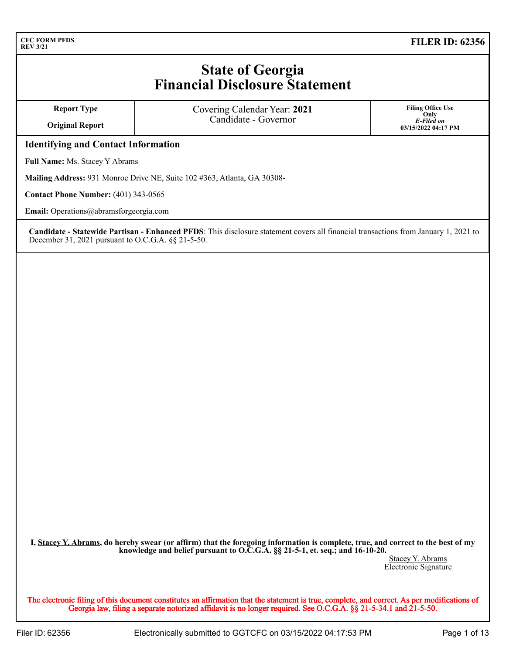# **State of Georgia Financial Disclosure Statement**

| <b>Report Type</b><br><b>Original Report</b> | Covering Calendar Year: 2021<br>Candidate - Governor | <b>Filing Office Use</b><br>Only<br>E-Filed on<br>03/15/2022 04:17 PM |  |  |  |  |  |  |
|----------------------------------------------|------------------------------------------------------|-----------------------------------------------------------------------|--|--|--|--|--|--|
| <b>Identifying and Contact Information</b>   |                                                      |                                                                       |  |  |  |  |  |  |
| Full Name: Ms. Stacey Y Abrams               |                                                      |                                                                       |  |  |  |  |  |  |

**Mailing Address:** 931 Monroe Drive NE, Suite 102 #363, Atlanta, GA 30308-

**Contact Phone Number:** (401) 343-0565

**Email:** Operations@abramsforgeorgia.com

**Candidate - Statewide Partisan - Enhanced PFDS**: This disclosure statement covers all financial transactions from January 1, 2021 to December 31, 2021 pursuant to O.C.G.A. §§ 21-5-50.

**I, Stacey Y. Abrams, do hereby swear (or affirm) that the foregoing information is complete, true, and correct to the best of my knowledge and belief pursuant to O.C.G.A. §§ 21-5-1, et. seq.; and 16-10-20.**

Stacey Y. Abrams Electronic Signature

The electronic filing of this document constitutes an affirmation that the statement is true, complete, and correct. As per modifications of Georgia law, filing a separate notorized affidavit is no longer required. See O.C.G.A. §§ 21-5-34.1 and 21-5-50.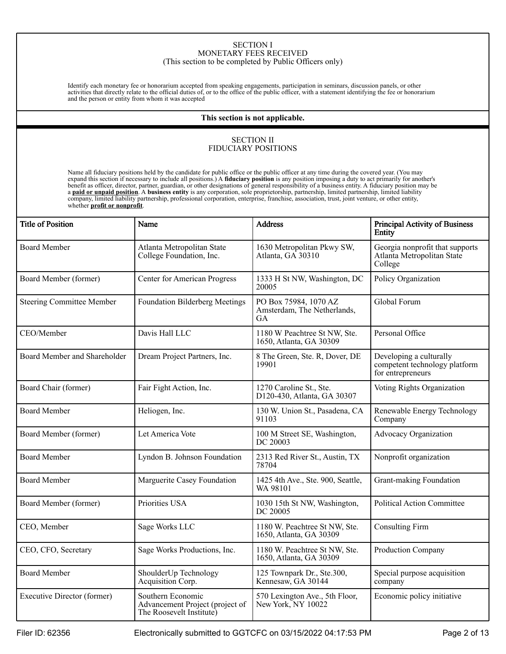#### SECTION I MONETARY FEES RECEIVED (This section to be completed by Public Officers only)

Identify each monetary fee or honorarium accepted from speaking engagements, participation in seminars, discussion panels, or other activities that directly relate to the official duties of, or to the office of the public officer, with a statement identifying the fee or honorarium and the person or entity from whom it was accepted

#### **This section is not applicable.**

#### SECTION II FIDUCIARY POSITIONS

Name all fiduciary positions held by the candidate for public office or the public officer at any time during the covered year. (You may expand this section if necessary to include all positions.) A **fiduciary position** is any position imposing a duty to act primarily for another's<br>benefit as officer, director, partner, guardian, or other designations of ge a **paid or unpaid position**. A business entity is any corporation, sole proprietorship, partnership, limited partnership, limited liability<br>company, limited liability partnership, professional corporation, enterprise, fran whether **profit or nonprofit**.

| <b>Title of Position</b>           | Name                                                                             | <b>Address</b>                                                    | <b>Principal Activity of Business</b><br>Entity                               |
|------------------------------------|----------------------------------------------------------------------------------|-------------------------------------------------------------------|-------------------------------------------------------------------------------|
| <b>Board Member</b>                | Atlanta Metropolitan State<br>College Foundation, Inc.                           | 1630 Metropolitan Pkwy SW,<br>Atlanta, GA 30310                   | Georgia nonprofit that supports<br>Atlanta Metropolitan State<br>College      |
| Board Member (former)              | Center for American Progress                                                     | 1333 H St NW, Washington, DC<br>20005                             | Policy Organization                                                           |
| <b>Steering Committee Member</b>   | Foundation Bilderberg Meetings                                                   | PO Box 75984, 1070 AZ<br>Amsterdam, The Netherlands,<br><b>GA</b> | Global Forum                                                                  |
| CEO/Member                         | Davis Hall LLC                                                                   | 1180 W Peachtree St NW, Ste.<br>1650, Atlanta, GA 30309           | Personal Office                                                               |
| Board Member and Shareholder       | Dream Project Partners, Inc.                                                     | 8 The Green, Ste. R, Dover, DE<br>19901                           | Developing a culturally<br>competent technology platform<br>for entrepreneurs |
| Board Chair (former)               | Fair Fight Action, Inc.                                                          | 1270 Caroline St., Ste.<br>D120-430, Atlanta, GA 30307            | Voting Rights Organization                                                    |
| <b>Board Member</b>                | Heliogen, Inc.                                                                   | 130 W. Union St., Pasadena, CA<br>91103                           | Renewable Energy Technology<br>Company                                        |
| Board Member (former)              | Let America Vote                                                                 | 100 M Street SE, Washington,<br>DC 20003                          | Advocacy Organization                                                         |
| <b>Board Member</b>                | Lyndon B. Johnson Foundation                                                     | 2313 Red River St., Austin, TX<br>78704                           | Nonprofit organization                                                        |
| <b>Board Member</b>                | Marguerite Casey Foundation                                                      | 1425 4th Ave., Ste. 900, Seattle,<br>WA 98101                     | Grant-making Foundation                                                       |
| Board Member (former)              | Priorities USA                                                                   | 1030 15th St NW, Washington,<br>DC 20005                          | <b>Political Action Committee</b>                                             |
| CEO, Member                        | Sage Works LLC                                                                   | 1180 W. Peachtree St NW, Ste.<br>1650, Atlanta, GA 30309          | <b>Consulting Firm</b>                                                        |
| CEO, CFO, Secretary                | Sage Works Productions, Inc.                                                     | 1180 W. Peachtree St NW, Ste.<br>1650, Atlanta, GA 30309          | Production Company                                                            |
| <b>Board Member</b>                | ShoulderUp Technology<br>Acquisition Corp.                                       | 125 Townpark Dr., Ste.300,<br>Kennesaw, GA 30144                  | Special purpose acquisition<br>company                                        |
| <b>Executive Director (former)</b> | Southern Economic<br>Advancement Project (project of<br>The Roosevelt Institute) | 570 Lexington Ave., 5th Floor,<br>New York, NY 10022              | Economic policy initiative                                                    |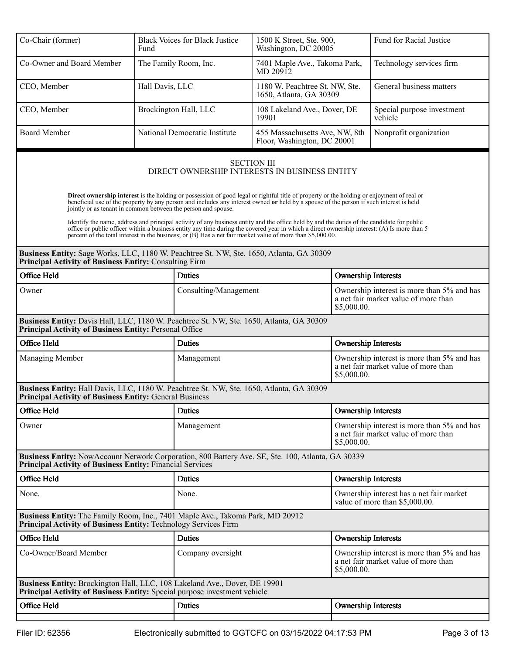| Co-Chair (former)                                                                                                                                                     | Fund            | <b>Black Voices for Black Justice</b> | 1500 K Street, Ste. 900,<br>Washington, DC 20005                                                                                                                                                                                                                                                                                                                                                        |                                                                                                   | Fund for Racial Justice                                                                           |  |
|-----------------------------------------------------------------------------------------------------------------------------------------------------------------------|-----------------|---------------------------------------|---------------------------------------------------------------------------------------------------------------------------------------------------------------------------------------------------------------------------------------------------------------------------------------------------------------------------------------------------------------------------------------------------------|---------------------------------------------------------------------------------------------------|---------------------------------------------------------------------------------------------------|--|
| Co-Owner and Board Member                                                                                                                                             |                 | The Family Room, Inc.                 | 7401 Maple Ave., Takoma Park,<br>MD 20912                                                                                                                                                                                                                                                                                                                                                               |                                                                                                   | Technology services firm                                                                          |  |
| CEO, Member                                                                                                                                                           | Hall Davis, LLC |                                       | 1180 W. Peachtree St. NW, Ste.<br>1650, Atlanta, GA 30309                                                                                                                                                                                                                                                                                                                                               |                                                                                                   | General business matters                                                                          |  |
| CEO, Member                                                                                                                                                           |                 | Brockington Hall, LLC                 | 108 Lakeland Ave., Dover, DE<br>19901                                                                                                                                                                                                                                                                                                                                                                   |                                                                                                   | Special purpose investment<br>vehicle                                                             |  |
| <b>Board Member</b>                                                                                                                                                   |                 | National Democratic Institute         | 455 Massachusetts Ave, NW, 8th<br>Floor, Washington, DC 20001                                                                                                                                                                                                                                                                                                                                           |                                                                                                   | Nonprofit organization                                                                            |  |
|                                                                                                                                                                       |                 |                                       | <b>SECTION III</b><br>DIRECT OWNERSHIP INTERESTS IN BUSINESS ENTITY<br>Direct ownership interest is the holding or possession of good legal or rightful title of property or the holding or enjoyment of real or                                                                                                                                                                                        |                                                                                                   |                                                                                                   |  |
| jointly or as tenant in common between the person and spouse.                                                                                                         |                 |                                       | beneficial use of the property by any person and includes any interest owned or held by a spouse of the person if such interest is held                                                                                                                                                                                                                                                                 |                                                                                                   |                                                                                                   |  |
|                                                                                                                                                                       |                 |                                       | Identify the name, address and principal activity of any business entity and the office held by and the duties of the candidate for public<br>office or public officer within a business entity any time during the covered year in which a direct ownership interest: (A) Is more than 5<br>percent of the total interest in the business; or (B) Has a net fair market value of more than \$5,000.00. |                                                                                                   |                                                                                                   |  |
| Business Entity: Sage Works, LLC, 1180 W. Peachtree St. NW, Ste. 1650, Atlanta, GA 30309<br><b>Principal Activity of Business Entity: Consulting Firm</b>             |                 |                                       |                                                                                                                                                                                                                                                                                                                                                                                                         |                                                                                                   |                                                                                                   |  |
| Office Held                                                                                                                                                           |                 | <b>Duties</b>                         |                                                                                                                                                                                                                                                                                                                                                                                                         | <b>Ownership Interests</b>                                                                        |                                                                                                   |  |
| Owner                                                                                                                                                                 |                 |                                       | Consulting/Management                                                                                                                                                                                                                                                                                                                                                                                   |                                                                                                   | Ownership interest is more than 5% and has<br>a net fair market value of more than<br>\$5,000.00. |  |
| Business Entity: Davis Hall, LLC, 1180 W. Peachtree St. NW, Ste. 1650, Atlanta, GA 30309<br>Principal Activity of Business Entity: Personal Office                    |                 |                                       |                                                                                                                                                                                                                                                                                                                                                                                                         |                                                                                                   |                                                                                                   |  |
| Office Held                                                                                                                                                           |                 | <b>Duties</b>                         |                                                                                                                                                                                                                                                                                                                                                                                                         | <b>Ownership Interests</b>                                                                        |                                                                                                   |  |
| Managing Member                                                                                                                                                       |                 | Management                            |                                                                                                                                                                                                                                                                                                                                                                                                         | Ownership interest is more than 5% and has<br>a net fair market value of more than<br>\$5,000.00. |                                                                                                   |  |
| Business Entity: Hall Davis, LLC, 1180 W. Peachtree St. NW, Ste. 1650, Atlanta, GA 30309<br><b>Principal Activity of Business Entity: General Business</b>            |                 |                                       |                                                                                                                                                                                                                                                                                                                                                                                                         |                                                                                                   |                                                                                                   |  |
| Office Held                                                                                                                                                           |                 | <b>Duties</b>                         |                                                                                                                                                                                                                                                                                                                                                                                                         | <b>Ownership Interests</b>                                                                        |                                                                                                   |  |
| Owner                                                                                                                                                                 |                 | Management                            |                                                                                                                                                                                                                                                                                                                                                                                                         | Ownership interest is more than 5% and has<br>a net fair market value of more than<br>\$5,000.00. |                                                                                                   |  |
| Business Entity: NowAccount Network Corporation, 800 Battery Ave. SE, Ste. 100, Atlanta, GA 30339<br><b>Principal Activity of Business Entity: Financial Services</b> |                 |                                       |                                                                                                                                                                                                                                                                                                                                                                                                         |                                                                                                   |                                                                                                   |  |
| Office Held                                                                                                                                                           |                 | <b>Duties</b>                         |                                                                                                                                                                                                                                                                                                                                                                                                         | <b>Ownership Interests</b>                                                                        |                                                                                                   |  |
| None.                                                                                                                                                                 | None.           |                                       |                                                                                                                                                                                                                                                                                                                                                                                                         | Ownership interest has a net fair market<br>value of more than \$5,000.00.                        |                                                                                                   |  |
| Business Entity: The Family Room, Inc., 7401 Maple Ave., Takoma Park, MD 20912<br>Principal Activity of Business Entity: Technology Services Firm                     |                 |                                       |                                                                                                                                                                                                                                                                                                                                                                                                         |                                                                                                   |                                                                                                   |  |
| Office Held                                                                                                                                                           |                 | <b>Duties</b>                         |                                                                                                                                                                                                                                                                                                                                                                                                         | <b>Ownership Interests</b>                                                                        |                                                                                                   |  |
| Co-Owner/Board Member                                                                                                                                                 |                 | Company oversight                     |                                                                                                                                                                                                                                                                                                                                                                                                         | Ownership interest is more than 5% and has<br>a net fair market value of more than<br>\$5,000.00. |                                                                                                   |  |
| Business Entity: Brockington Hall, LLC, 108 Lakeland Ave., Dover, DE 19901<br>Principal Activity of Business Entity: Special purpose investment vehicle               |                 |                                       |                                                                                                                                                                                                                                                                                                                                                                                                         |                                                                                                   |                                                                                                   |  |
| Office Held                                                                                                                                                           |                 | <b>Duties</b>                         |                                                                                                                                                                                                                                                                                                                                                                                                         | <b>Ownership Interests</b>                                                                        |                                                                                                   |  |
|                                                                                                                                                                       |                 |                                       |                                                                                                                                                                                                                                                                                                                                                                                                         |                                                                                                   |                                                                                                   |  |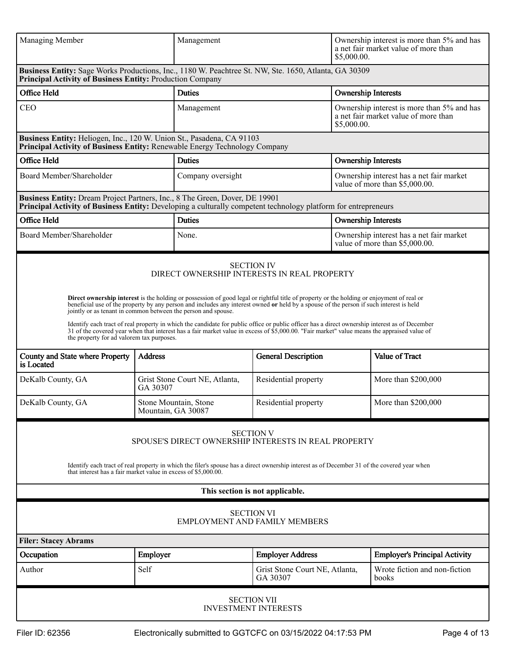| Managing Member                                                                                                                                                                               |                                             | Management                                                                                                                                                                                                                                                                                                                                                                                                                                                                                                                       |                                                                                                                                                                                                                                                                                 | \$5,000.00.                           | Ownership interest is more than 5% and has<br>a net fair market value of more than |
|-----------------------------------------------------------------------------------------------------------------------------------------------------------------------------------------------|---------------------------------------------|----------------------------------------------------------------------------------------------------------------------------------------------------------------------------------------------------------------------------------------------------------------------------------------------------------------------------------------------------------------------------------------------------------------------------------------------------------------------------------------------------------------------------------|---------------------------------------------------------------------------------------------------------------------------------------------------------------------------------------------------------------------------------------------------------------------------------|---------------------------------------|------------------------------------------------------------------------------------|
| Business Entity: Sage Works Productions, Inc., 1180 W. Peachtree St. NW, Ste. 1650, Atlanta, GA 30309<br>Principal Activity of Business Entity: Production Company                            |                                             |                                                                                                                                                                                                                                                                                                                                                                                                                                                                                                                                  |                                                                                                                                                                                                                                                                                 |                                       |                                                                                    |
| Office Held                                                                                                                                                                                   |                                             | <b>Duties</b>                                                                                                                                                                                                                                                                                                                                                                                                                                                                                                                    |                                                                                                                                                                                                                                                                                 | <b>Ownership Interests</b>            |                                                                                    |
| <b>CEO</b>                                                                                                                                                                                    |                                             | Management                                                                                                                                                                                                                                                                                                                                                                                                                                                                                                                       |                                                                                                                                                                                                                                                                                 | \$5,000.00.                           | Ownership interest is more than 5% and has<br>a net fair market value of more than |
| Business Entity: Heliogen, Inc., 120 W. Union St., Pasadena, CA 91103<br>Principal Activity of Business Entity: Renewable Energy Technology Company                                           |                                             |                                                                                                                                                                                                                                                                                                                                                                                                                                                                                                                                  |                                                                                                                                                                                                                                                                                 |                                       |                                                                                    |
| Office Held                                                                                                                                                                                   |                                             | <b>Duties</b>                                                                                                                                                                                                                                                                                                                                                                                                                                                                                                                    |                                                                                                                                                                                                                                                                                 | <b>Ownership Interests</b>            |                                                                                    |
| Board Member/Shareholder                                                                                                                                                                      |                                             | Company oversight                                                                                                                                                                                                                                                                                                                                                                                                                                                                                                                |                                                                                                                                                                                                                                                                                 |                                       | Ownership interest has a net fair market<br>value of more than \$5,000.00.         |
| Business Entity: Dream Project Partners, Inc., 8 The Green, Dover, DE 19901<br>Principal Activity of Business Entity: Developing a culturally competent technology platform for entrepreneurs |                                             |                                                                                                                                                                                                                                                                                                                                                                                                                                                                                                                                  |                                                                                                                                                                                                                                                                                 |                                       |                                                                                    |
| Office Held                                                                                                                                                                                   |                                             | <b>Duties</b>                                                                                                                                                                                                                                                                                                                                                                                                                                                                                                                    |                                                                                                                                                                                                                                                                                 | <b>Ownership Interests</b>            |                                                                                    |
| Board Member/Shareholder                                                                                                                                                                      |                                             | None.                                                                                                                                                                                                                                                                                                                                                                                                                                                                                                                            |                                                                                                                                                                                                                                                                                 |                                       | Ownership interest has a net fair market<br>value of more than \$5,000.00.         |
| jointly or as tenant in common between the person and spouse.<br>the property for ad valorem tax purposes.<br>County and State where Property<br>is Located<br>DeKalb County, GA              | <b>Address</b><br>GA 30307                  | beneficial use of the property by any person and includes any interest owned or held by a spouse of the person if such interest is held<br>Identify each tract of real property in which the candidate for public office or public officer has a direct ownership interest as of December<br>31 of the covered year when that interest has a fair market value in excess of \$5,000.00. "Fair market" value means the appraised value of<br><b>General Description</b><br>Grist Stone Court NE, Atlanta,<br>Residential property |                                                                                                                                                                                                                                                                                 | Value of Tract<br>More than \$200,000 |                                                                                    |
| DeKalb County, GA                                                                                                                                                                             | Stone Mountain, Stone<br>Mountain, GA 30087 |                                                                                                                                                                                                                                                                                                                                                                                                                                                                                                                                  | Residential property                                                                                                                                                                                                                                                            |                                       | More than \$200,000                                                                |
| that interest has a fair market value in excess of \$5,000.00.                                                                                                                                |                                             |                                                                                                                                                                                                                                                                                                                                                                                                                                                                                                                                  | <b>SECTION V</b><br>SPOUSE'S DIRECT OWNERSHIP INTERESTS IN REAL PROPERTY<br>Identify each tract of real property in which the filer's spouse has a direct ownership interest as of December 31 of the covered year when<br>This section is not applicable.<br><b>SECTION VI</b> |                                       |                                                                                    |
|                                                                                                                                                                                               |                                             |                                                                                                                                                                                                                                                                                                                                                                                                                                                                                                                                  | <b>EMPLOYMENT AND FAMILY MEMBERS</b>                                                                                                                                                                                                                                            |                                       |                                                                                    |
| <b>Filer: Stacey Abrams</b>                                                                                                                                                                   |                                             |                                                                                                                                                                                                                                                                                                                                                                                                                                                                                                                                  |                                                                                                                                                                                                                                                                                 |                                       |                                                                                    |
| Occupation                                                                                                                                                                                    | Employer                                    |                                                                                                                                                                                                                                                                                                                                                                                                                                                                                                                                  | <b>Employer Address</b>                                                                                                                                                                                                                                                         |                                       | <b>Employer's Principal Activity</b>                                               |
| Author                                                                                                                                                                                        | Self                                        |                                                                                                                                                                                                                                                                                                                                                                                                                                                                                                                                  | Grist Stone Court NE, Atlanta,<br>GA 30307                                                                                                                                                                                                                                      |                                       | Wrote fiction and non-fiction<br>books                                             |
|                                                                                                                                                                                               |                                             |                                                                                                                                                                                                                                                                                                                                                                                                                                                                                                                                  | <b>SECTION VII</b><br><b>INVESTMENT INTERESTS</b>                                                                                                                                                                                                                               |                                       |                                                                                    |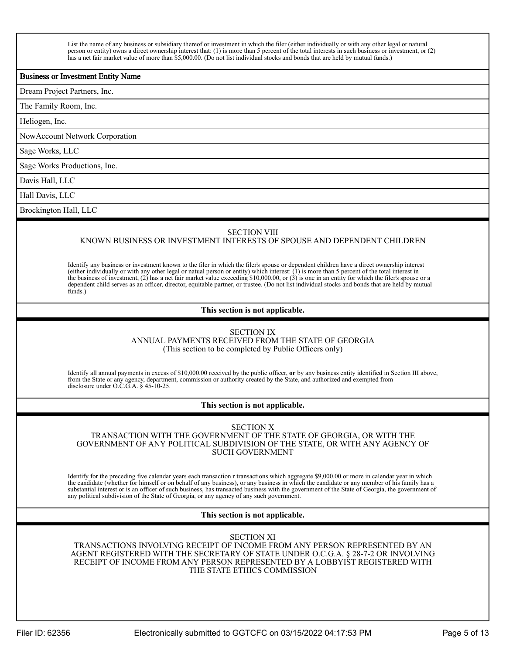List the name of any business or subsidiary thereof or investment in which the filer (either individually or with any other legal or natural person or entity) owns a direct ownership interest that: (1) is more than 5 percent of the total interests in such business or investment, or (2) has a net fair market value of more than \$5,000.00. (Do not list individual stocks and bonds that are held by mutual funds.)

#### Business or Investment Entity Name

Dream Project Partners, Inc.

The Family Room, Inc.

Heliogen, Inc.

NowAccount Network Corporation

Sage Works, LLC

Sage Works Productions, Inc.

Davis Hall, LLC

Hall Davis, LLC

Brockington Hall, LLC

#### SECTION VIII

## KNOWN BUSINESS OR INVESTMENT INTERESTS OF SPOUSE AND DEPENDENT CHILDREN

Identify any business or investment known to the filer in which the filer's spouse or dependent children have a direct ownership interest (either individually or with any other legal or natual person or entity) which interest: (1) is more than 5 percent of the total interest in the business of investment,  $(2)$  has a net fair market value exceeding \$10,000.00, or  $(3)$  is one in an entity for which the filer's spouse or a dependent child serves as an officer, director, equitable partner, or trustee. (Do not list individual stocks and bonds that are held by mutual funds.)

#### **This section is not applicable.**

## SECTION IX

ANNUAL PAYMENTS RECEIVED FROM THE STATE OF GEORGIA (This section to be completed by Public Officers only)

Identify all annual payments in excess of \$10,000.00 received by the public officer, **or** by any business entity identified in Section III above, from the State or any agency, department, commission or authority created by the State, and authorized and exempted from disclosure under O.C.G.A. § 45-10-25.

#### **This section is not applicable.**

SECTION X TRANSACTION WITH THE GOVERNMENT OF THE STATE OF GEORGIA, OR WITH THE GOVERNMENT OF ANY POLITICAL SUBDIVISION OF THE STATE, OR WITH ANY AGENCY OF SUCH GOVERNMENT

Identify for the preceding five calendar years each transaction r transactions which aggregate \$9,000.00 or more in calendar year in which the candidate (whether for himself or on behalf of any business), or any business in which the candidate or any member of his family has a substantial interest or is an officer of such business, has transacted business with the government of the State of Georgia, the government of any political subdivision of the State of Georgia, or any agency of any such government.

#### **This section is not applicable.**

SECTION XI

TRANSACTIONS INVOLVING RECEIPT OF INCOME FROM ANY PERSON REPRESENTED BY AN AGENT REGISTERED WITH THE SECRETARY OF STATE UNDER O.C.G.A. § 28-7-2 OR INVOLVING RECEIPT OF INCOME FROM ANY PERSON REPRESENTED BY A LOBBYIST REGISTERED WITH THE STATE ETHICS COMMISSION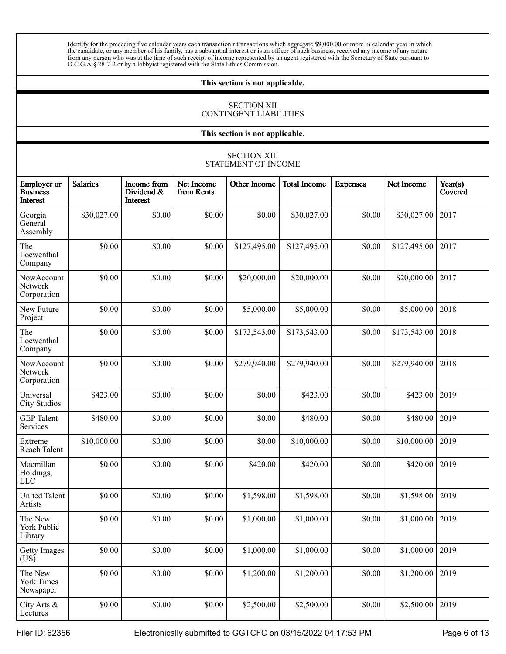Identify for the preceding five calendar years each transaction r transactions which aggregate \$9,000.00 or more in calendar year in which the candidate, or any member of his family, has a substantial interest or is an officer of such business, received any income of any nature from any person who was at the time of such receipt of income represented by an agent registered with the Secretary of State pursuant to O.C.G.A § 28-7-2 or by a lobbyist registered with the State Ethics Commission.

#### **This section is not applicable.**

## SECTION XII CONTINGENT LIABILITIES

**This section is not applicable.**

|                                                   |                 |                                              |                          | <b>SECTION XIII</b><br>STATEMENT OF INCOME |                     |                 |              |                    |
|---------------------------------------------------|-----------------|----------------------------------------------|--------------------------|--------------------------------------------|---------------------|-----------------|--------------|--------------------|
| <b>Employer</b> or<br><b>Business</b><br>Interest | <b>Salaries</b> | Income from<br>Dividend &<br><b>Interest</b> | Net Income<br>from Rents | <b>Other Income</b>                        | <b>Total Income</b> | <b>Expenses</b> | Net Income   | Year(s)<br>Covered |
| Georgia<br>General<br>Assembly                    | \$30,027.00     | \$0.00                                       | \$0.00                   | \$0.00                                     | \$30,027.00         | \$0.00          | \$30,027.00  | 2017               |
| The<br>Loewenthal<br>Company                      | \$0.00          | \$0.00                                       | \$0.00                   | \$127,495.00                               | \$127,495.00        | \$0.00          | \$127,495.00 | 2017               |
| NowAccount<br>Network<br>Corporation              | \$0.00          | \$0.00                                       | \$0.00                   | \$20,000.00                                | \$20,000.00         | \$0.00          | \$20,000.00  | 2017               |
| New Future<br>Project                             | \$0.00          | \$0.00                                       | \$0.00                   | \$5,000.00                                 | \$5,000.00          | \$0.00          | \$5,000.00   | 2018               |
| The<br>Loewenthal<br>Company                      | \$0.00          | \$0.00                                       | \$0.00                   | \$173,543.00                               | \$173,543.00        | \$0.00          | \$173,543.00 | 2018               |
| NowAccount<br>Network<br>Corporation              | \$0.00          | \$0.00                                       | \$0.00                   | \$279,940.00                               | \$279,940.00        | \$0.00          | \$279,940.00 | 2018               |
| Universal<br><b>City Studios</b>                  | \$423.00        | \$0.00                                       | \$0.00                   | \$0.00                                     | \$423.00            | \$0.00          | \$423.00     | 2019               |
| <b>GEP</b> Talent<br>Services                     | \$480.00        | \$0.00                                       | \$0.00                   | \$0.00                                     | \$480.00            | \$0.00          | \$480.00     | 2019               |
| Extreme<br>Reach Talent                           | \$10,000.00     | \$0.00                                       | \$0.00                   | \$0.00                                     | \$10,000.00         | \$0.00          | \$10,000.00  | 2019               |
| Macmillan<br>Holdings,<br><b>LLC</b>              | \$0.00          | \$0.00                                       | \$0.00                   | \$420.00                                   | \$420.00            | \$0.00          | \$420.00     | 2019               |
| <b>United Talent</b><br>Artists                   | \$0.00          | \$0.00                                       | \$0.00                   | \$1,598.00                                 | \$1,598.00          | \$0.00          | \$1,598.00   | 2019               |
| The New<br>York Public<br>Library                 | \$0.00          | \$0.00                                       | \$0.00                   | \$1,000.00                                 | \$1,000.00          | \$0.00          | \$1,000.00   | 2019               |
| Getty Images<br>(US)                              | \$0.00          | \$0.00                                       | \$0.00                   | \$1,000.00                                 | \$1,000.00          | \$0.00          | \$1,000.00   | 2019               |
| The New<br><b>York Times</b><br>Newspaper         | \$0.00          | \$0.00                                       | \$0.00                   | \$1,200.00                                 | \$1,200.00          | \$0.00          | \$1,200.00   | 2019               |
| City Arts &<br>Lectures                           | \$0.00          | \$0.00                                       | \$0.00                   | \$2,500.00                                 | \$2,500.00          | \$0.00          | \$2,500.00   | 2019               |

Filer ID: 62356 **Electronically submitted to GGTCFC on 03/15/2022 04:17:53 PM** Page 6 of 13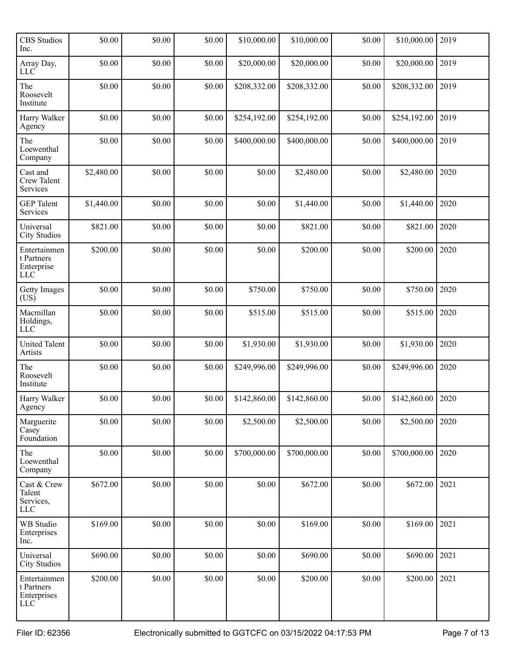| <b>CBS</b> Studios<br>Inc.                               | \$0.00     | \$0.00 | \$0.00 | \$10,000.00  | \$10,000.00  | \$0.00 | \$10,000.00  | 2019 |
|----------------------------------------------------------|------------|--------|--------|--------------|--------------|--------|--------------|------|
| Array Day,<br>LLC                                        | \$0.00     | \$0.00 | \$0.00 | \$20,000.00  | \$20,000.00  | \$0.00 | \$20,000.00  | 2019 |
| The<br>Roosevelt<br>Institute                            | \$0.00     | \$0.00 | \$0.00 | \$208,332.00 | \$208,332.00 | \$0.00 | \$208,332.00 | 2019 |
| Harry Walker<br>Agency                                   | \$0.00     | \$0.00 | \$0.00 | \$254,192.00 | \$254,192.00 | \$0.00 | \$254,192.00 | 2019 |
| The<br>Loewenthal<br>Company                             | \$0.00     | \$0.00 | \$0.00 | \$400,000.00 | \$400,000.00 | \$0.00 | \$400,000.00 | 2019 |
| Cast and<br>Crew Talent<br>Services                      | \$2,480.00 | \$0.00 | \$0.00 | \$0.00       | \$2,480.00   | \$0.00 | \$2,480.00   | 2020 |
| <b>GEP</b> Talent<br>Services                            | \$1,440.00 | \$0.00 | \$0.00 | \$0.00       | \$1,440.00   | \$0.00 | \$1,440.00   | 2020 |
| Universal<br><b>City Studios</b>                         | \$821.00   | \$0.00 | \$0.00 | \$0.00       | \$821.00     | \$0.00 | \$821.00     | 2020 |
| Entertainmen<br>t Partners<br>Enterprise<br>LLC          | \$200.00   | \$0.00 | \$0.00 | \$0.00       | \$200.00     | \$0.00 | \$200.00     | 2020 |
| <b>Getty Images</b><br>(US)                              | \$0.00     | \$0.00 | \$0.00 | \$750.00     | \$750.00     | \$0.00 | \$750.00     | 2020 |
| Macmillan<br>Holdings,<br><b>LLC</b>                     | \$0.00     | \$0.00 | \$0.00 | \$515.00     | \$515.00     | \$0.00 | \$515.00     | 2020 |
| <b>United Talent</b><br>Artists                          | \$0.00     | \$0.00 | \$0.00 | \$1,930.00   | \$1,930.00   | \$0.00 | \$1,930.00   | 2020 |
| The<br>Roosevelt<br>Institute                            | \$0.00     | \$0.00 | \$0.00 | \$249,996.00 | \$249,996.00 | \$0.00 | \$249,996.00 | 2020 |
| Harry Walker<br>Agency                                   | \$0.00     | \$0.00 | \$0.00 | \$142,860.00 | \$142,860.00 | \$0.00 | \$142,860.00 | 2020 |
| Marguerite<br>Casey<br>Foundation                        | \$0.00     | \$0.00 | \$0.00 | \$2,500.00   | \$2,500.00   | \$0.00 | \$2,500.00   | 2020 |
| The<br>Loewenthal<br>Company                             | \$0.00     | \$0.00 | \$0.00 | \$700,000.00 | \$700,000.00 | \$0.00 | \$700,000.00 | 2020 |
| Cast & Crew<br>Talent<br>Services,<br>LLC                | \$672.00   | \$0.00 | \$0.00 | \$0.00       | \$672.00     | \$0.00 | \$672.00     | 2021 |
| WB Studio<br>Enterprises<br>Inc.                         | \$169.00   | \$0.00 | \$0.00 | \$0.00       | \$169.00     | \$0.00 | \$169.00     | 2021 |
| Universal<br><b>City Studios</b>                         | \$690.00   | \$0.00 | \$0.00 | \$0.00       | \$690.00     | \$0.00 | \$690.00     | 2021 |
| Entertainmen<br>t Partners<br>Enterprises<br>${\rm LLC}$ | \$200.00   | \$0.00 | \$0.00 | \$0.00       | \$200.00     | \$0.00 | \$200.00     | 2021 |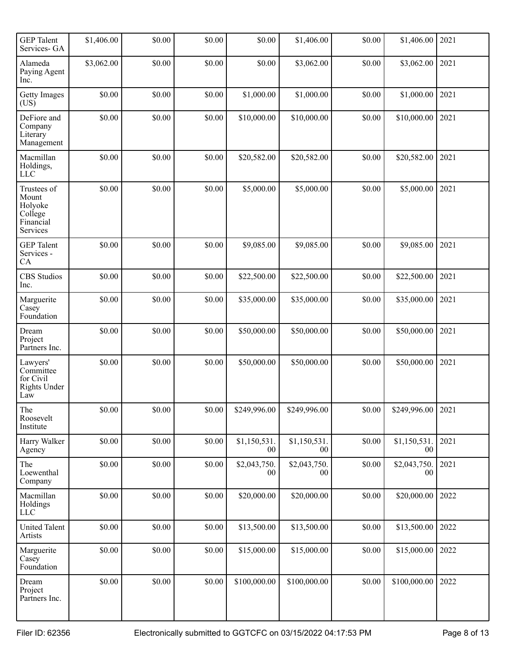| <b>GEP</b> Talent<br>Services- GA                                   | \$1,406.00 | \$0.00 | \$0.00 | \$0.00                 | \$1,406.00             | \$0.00 | \$1,406.00         | 2021 |
|---------------------------------------------------------------------|------------|--------|--------|------------------------|------------------------|--------|--------------------|------|
| Alameda<br>Paying Agent<br>Inc.                                     | \$3,062.00 | \$0.00 | \$0.00 | \$0.00                 | \$3,062.00             | \$0.00 | \$3,062.00         | 2021 |
| <b>Getty Images</b><br>(US)                                         | \$0.00     | \$0.00 | \$0.00 | \$1,000.00             | \$1,000.00             | \$0.00 | \$1,000.00         | 2021 |
| DeFiore and<br>Company<br>Literary<br>Management                    | \$0.00     | \$0.00 | \$0.00 | \$10,000.00            | \$10,000.00            | \$0.00 | \$10,000.00        | 2021 |
| Macmillan<br>Holdings,<br>LLC                                       | \$0.00     | \$0.00 | \$0.00 | \$20,582.00            | \$20,582.00            | \$0.00 | \$20,582.00        | 2021 |
| Trustees of<br>Mount<br>Holyoke<br>College<br>Financial<br>Services | \$0.00     | \$0.00 | \$0.00 | \$5,000.00             | \$5,000.00             | \$0.00 | \$5,000.00         | 2021 |
| <b>GEP</b> Talent<br>Services -<br>CA                               | \$0.00     | \$0.00 | \$0.00 | \$9,085.00             | \$9,085.00             | \$0.00 | \$9,085.00         | 2021 |
| <b>CBS</b> Studios<br>Inc.                                          | \$0.00     | \$0.00 | \$0.00 | \$22,500.00            | \$22,500.00            | \$0.00 | \$22,500.00        | 2021 |
| Marguerite<br>Casey<br>Foundation                                   | \$0.00     | \$0.00 | \$0.00 | \$35,000.00            | \$35,000.00            | \$0.00 | \$35,000.00        | 2021 |
| Dream<br>Project<br>Partners Inc.                                   | \$0.00     | \$0.00 | \$0.00 | \$50,000.00            | \$50,000.00            | \$0.00 | \$50,000.00        | 2021 |
| Lawyers'<br>Committee<br>for Civil<br><b>Rights Under</b><br>Law    | \$0.00     | \$0.00 | \$0.00 | \$50,000.00            | \$50,000.00            | \$0.00 | \$50,000.00        | 2021 |
| The<br>Roosevelt<br>Institute                                       | \$0.00     | \$0.00 | \$0.00 | \$249,996.00           | \$249,996.00           | \$0.00 | \$249,996.00       | 2021 |
| Harry Walker<br>Agency                                              | \$0.00     | \$0.00 | \$0.00 | \$1,150,531.<br>$00\,$ | \$1,150,531.<br>00     | \$0.00 | \$1,150,531.<br>00 | 2021 |
| The<br>Loewenthal<br>Company                                        | \$0.00     | \$0.00 | \$0.00 | \$2,043,750.<br>$00\,$ | \$2,043,750.<br>$00\,$ | \$0.00 | \$2,043,750.<br>00 | 2021 |
| Macmillan<br>Holdings<br>${\rm LLC}$                                | \$0.00     | \$0.00 | \$0.00 | \$20,000.00            | \$20,000.00            | \$0.00 | \$20,000.00        | 2022 |
| <b>United Talent</b><br>Artists                                     | \$0.00     | \$0.00 | \$0.00 | \$13,500.00            | \$13,500.00            | \$0.00 | \$13,500.00        | 2022 |
| Marguerite<br>Casey<br>Foundation                                   | \$0.00     | \$0.00 | \$0.00 | \$15,000.00            | \$15,000.00            | \$0.00 | \$15,000.00        | 2022 |
| Dream<br>Project<br>Partners Inc.                                   | \$0.00     | \$0.00 | \$0.00 | \$100,000.00           | \$100,000.00           | \$0.00 | \$100,000.00       | 2022 |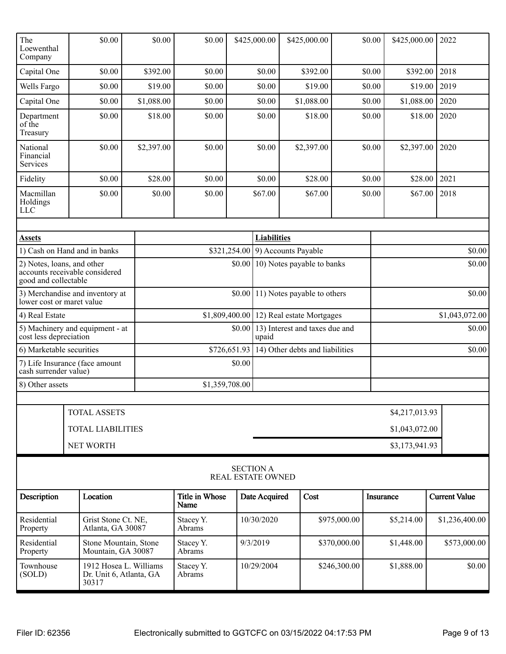| The<br>Loewenthal<br>Company        | \$0.00                                                     | \$0.00     | \$0.00                        |        | \$425,000.00                                            |  | \$425,000.00                               |              | \$0.00         | \$425,000.00   |        | 2022                 |
|-------------------------------------|------------------------------------------------------------|------------|-------------------------------|--------|---------------------------------------------------------|--|--------------------------------------------|--------------|----------------|----------------|--------|----------------------|
| Capital One                         | \$0.00                                                     | \$392.00   | \$0.00                        |        | \$0.00                                                  |  | \$392.00                                   |              | \$0.00         | \$392.00       |        | 2018                 |
| Wells Fargo                         | \$0.00                                                     | \$19.00    | \$0.00                        |        | \$0.00                                                  |  | \$19.00                                    |              | \$0.00         | \$19.00        |        | 2019                 |
| Capital One                         | \$0.00                                                     | \$1,088.00 | \$0.00                        |        | \$0.00                                                  |  | \$1,088.00                                 |              | \$0.00         | \$1,088.00     |        | 2020                 |
| Department<br>of the<br>Treasury    | \$0.00                                                     | \$18.00    | \$0.00                        |        | \$0.00                                                  |  | \$18.00                                    |              | \$0.00         | \$18.00        |        | 2020                 |
| National<br>Financial<br>Services   | \$0.00                                                     | \$2,397.00 | \$0.00                        |        | \$0.00                                                  |  | \$2,397.00                                 |              | \$0.00         | \$2,397.00     |        | 2020                 |
| Fidelity                            | \$0.00                                                     | \$28.00    | \$0.00                        |        | \$0.00                                                  |  | \$28.00                                    |              | \$0.00         | \$28.00        |        | 2021                 |
| Macmillan<br>Holdings<br><b>LLC</b> | \$0.00                                                     | \$0.00     | \$0.00                        |        | \$67.00                                                 |  | \$67.00                                    |              | \$0.00         | \$67.00        |        | 2018                 |
|                                     |                                                            |            |                               |        |                                                         |  |                                            |              |                |                |        |                      |
| <b>Assets</b>                       | 1) Cash on Hand and in banks                               |            |                               |        | <b>Liabilities</b><br>$$321,254.00$ 9) Accounts Payable |  |                                            |              |                |                |        | \$0.00               |
| 2) Notes, loans, and other          |                                                            |            |                               |        |                                                         |  | $$0.00 \,   \, 10)$ Notes payable to banks |              |                |                |        | \$0.00               |
| good and collectable                | accounts receivable considered                             |            |                               |        |                                                         |  |                                            |              |                |                |        |                      |
| lower cost or maret value           | 3) Merchandise and inventory at                            |            |                               |        | $$0.00$ 11) Notes payable to others                     |  |                                            |              |                | \$0.00         |        |                      |
| 4) Real Estate                      |                                                            |            | \$1,809,400.00                |        | 12) Real estate Mortgages                               |  |                                            |              | \$1,043,072.00 |                |        |                      |
| cost less depreciation              | 5) Machinery and equipment - at                            |            |                               | \$0.00 | 13) Interest and taxes due and<br>upaid                 |  |                                            |              |                |                | \$0.00 |                      |
| 6) Marketable securities            |                                                            |            | \$726,651.93                  |        |                                                         |  | 14) Other debts and liabilities            |              |                | \$0.00         |        |                      |
| cash surrender value)               | 7) Life Insurance (face amount                             |            |                               | \$0.00 |                                                         |  |                                            |              |                |                |        |                      |
| 8) Other assets                     |                                                            |            | \$1,359,708.00                |        |                                                         |  |                                            |              |                |                |        |                      |
|                                     |                                                            |            |                               |        |                                                         |  |                                            |              |                |                |        |                      |
|                                     | <b>TOTAL ASSETS</b>                                        |            |                               |        |                                                         |  |                                            |              |                | \$4,217,013.93 |        |                      |
|                                     | <b>TOTAL LIABILITIES</b>                                   |            |                               |        |                                                         |  |                                            |              |                | \$1,043,072.00 |        |                      |
| NET WORTH<br>\$3,173,941.93         |                                                            |            |                               |        |                                                         |  |                                            |              |                |                |        |                      |
|                                     |                                                            |            |                               |        | <b>SECTION A</b><br><b>REAL ESTATE OWNED</b>            |  |                                            |              |                |                |        |                      |
| Description                         | Location                                                   |            | <b>Title in Whose</b><br>Name |        | Date Acquired                                           |  | Cost                                       |              | Insurance      |                |        | <b>Current Value</b> |
| Residential<br>Property             | Grist Stone Ct. NE,<br>Atlanta, GA 30087                   |            | Stacey Y.<br>Abrams           |        | 10/30/2020                                              |  |                                            | \$975,000.00 |                | \$5,214.00     |        | \$1,236,400.00       |
| Residential<br>Property             | Stone Mountain, Stone<br>Mountain, GA 30087                |            | Stacey Y.<br>Abrams           |        | 9/3/2019                                                |  |                                            | \$370,000.00 |                | \$1,448.00     |        | \$573,000.00         |
| Townhouse<br>(SOLD)                 | 1912 Hosea L. Williams<br>Dr. Unit 6, Atlanta, GA<br>30317 |            | Stacey Y.<br>Abrams           |        | 10/29/2004                                              |  |                                            | \$246,300.00 |                | \$1,888.00     |        | \$0.00               |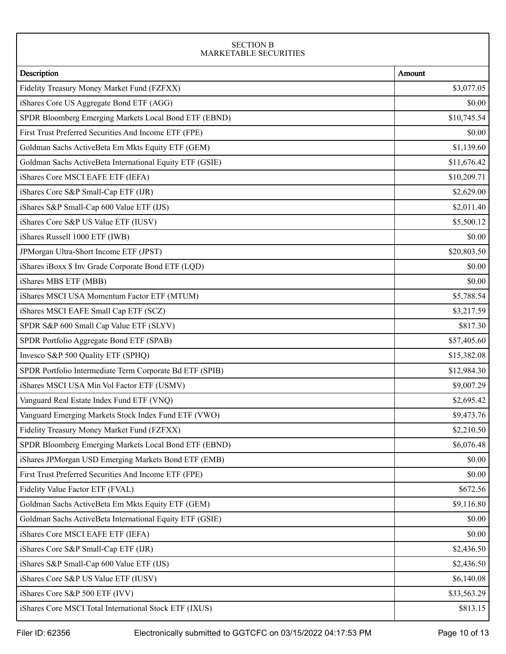### SECTION B MARKETABLE SECURITIES

| Description                                              | Amount      |
|----------------------------------------------------------|-------------|
| Fidelity Treasury Money Market Fund (FZFXX)              | \$3,077.05  |
| iShares Core US Aggregate Bond ETF (AGG)                 | \$0.00      |
| SPDR Bloomberg Emerging Markets Local Bond ETF (EBND)    | \$10,745.54 |
| First Trust Preferred Securities And Income ETF (FPE)    | \$0.00      |
| Goldman Sachs ActiveBeta Em Mkts Equity ETF (GEM)        | \$1,139.60  |
| Goldman Sachs ActiveBeta International Equity ETF (GSIE) | \$11,676.42 |
| iShares Core MSCI EAFE ETF (IEFA)                        | \$10,209.71 |
| iShares Core S&P Small-Cap ETF (IJR)                     | \$2,629.00  |
| iShares S&P Small-Cap 600 Value ETF (IJS)                | \$2,011.40  |
| iShares Core S&P US Value ETF (IUSV)                     | \$5,500.12  |
| iShares Russell 1000 ETF (IWB)                           | \$0.00      |
| JPMorgan Ultra-Short Income ETF (JPST)                   | \$20,803.50 |
| iShares iBoxx \$ Inv Grade Corporate Bond ETF (LQD)      | \$0.00      |
| iShares MBS ETF (MBB)                                    | \$0.00      |
| iShares MSCI USA Momentum Factor ETF (MTUM)              | \$5,788.54  |
| iShares MSCI EAFE Small Cap ETF (SCZ)                    | \$3,217.59  |
| SPDR S&P 600 Small Cap Value ETF (SLYV)                  | \$817.30    |
| SPDR Portfolio Aggregate Bond ETF (SPAB)                 | \$57,405.60 |
| Invesco S&P 500 Quality ETF (SPHQ)                       | \$15,382.08 |
| SPDR Portfolio Intermediate Term Corporate Bd ETF (SPIB) | \$12,984.30 |
| iShares MSCI USA Min Vol Factor ETF (USMV)               | \$9,007.29  |
| Vanguard Real Estate Index Fund ETF (VNQ)                | \$2,695.42  |
| Vanguard Emerging Markets Stock Index Fund ETF (VWO)     | \$9,473.76  |
| Fidelity Treasury Money Market Fund (FZFXX)              | \$2,210.50  |
| SPDR Bloomberg Emerging Markets Local Bond ETF (EBND)    | \$6,076.48  |
| iShares JPMorgan USD Emerging Markets Bond ETF (EMB)     | \$0.00      |
| First Trust Preferred Securities And Income ETF (FPE)    | \$0.00      |
| Fidelity Value Factor ETF (FVAL)                         | \$672.56    |
| Goldman Sachs ActiveBeta Em Mkts Equity ETF (GEM)        | \$9,116.80  |
| Goldman Sachs ActiveBeta International Equity ETF (GSIE) | \$0.00      |
| iShares Core MSCI EAFE ETF (IEFA)                        | \$0.00      |
| iShares Core S&P Small-Cap ETF (IJR)                     | \$2,436.50  |
| iShares S&P Small-Cap 600 Value ETF (IJS)                | \$2,436.50  |
| iShares Core S&P US Value ETF (IUSV)                     | \$6,140.08  |
| iShares Core S&P 500 ETF (IVV)                           | \$33,563.29 |
| iShares Core MSCI Total International Stock ETF (IXUS)   | \$813.15    |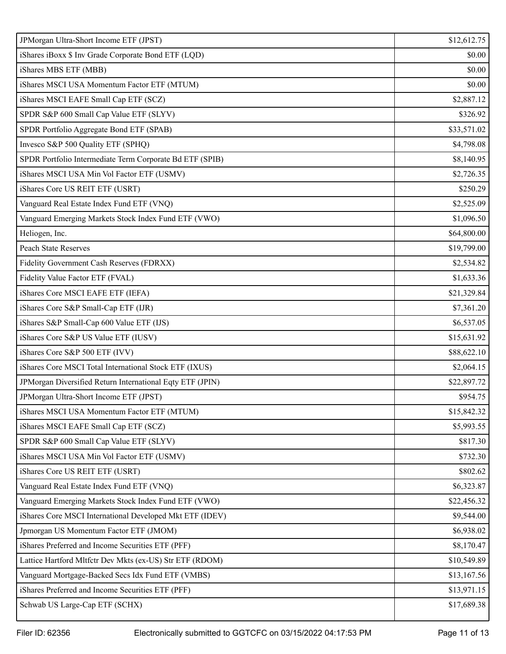| JPMorgan Ultra-Short Income ETF (JPST)                    | \$12,612.75 |
|-----------------------------------------------------------|-------------|
| iShares iBoxx \$ Inv Grade Corporate Bond ETF (LQD)       | \$0.00      |
| iShares MBS ETF (MBB)                                     | \$0.00      |
| iShares MSCI USA Momentum Factor ETF (MTUM)               | \$0.00      |
| iShares MSCI EAFE Small Cap ETF (SCZ)                     | \$2,887.12  |
| SPDR S&P 600 Small Cap Value ETF (SLYV)                   | \$326.92    |
| SPDR Portfolio Aggregate Bond ETF (SPAB)                  | \$33,571.02 |
| Invesco S&P 500 Quality ETF (SPHQ)                        | \$4,798.08  |
| SPDR Portfolio Intermediate Term Corporate Bd ETF (SPIB)  | \$8,140.95  |
| iShares MSCI USA Min Vol Factor ETF (USMV)                | \$2,726.35  |
| iShares Core US REIT ETF (USRT)                           | \$250.29    |
| Vanguard Real Estate Index Fund ETF (VNQ)                 | \$2,525.09  |
| Vanguard Emerging Markets Stock Index Fund ETF (VWO)      | \$1,096.50  |
| Heliogen, Inc.                                            | \$64,800.00 |
| <b>Peach State Reserves</b>                               | \$19,799.00 |
| Fidelity Government Cash Reserves (FDRXX)                 | \$2,534.82  |
| Fidelity Value Factor ETF (FVAL)                          | \$1,633.36  |
| iShares Core MSCI EAFE ETF (IEFA)                         | \$21,329.84 |
| iShares Core S&P Small-Cap ETF (IJR)                      | \$7,361.20  |
| iShares S&P Small-Cap 600 Value ETF (IJS)                 | \$6,537.05  |
| iShares Core S&P US Value ETF (IUSV)                      | \$15,631.92 |
| iShares Core S&P 500 ETF (IVV)                            | \$88,622.10 |
| iShares Core MSCI Total International Stock ETF (IXUS)    | \$2,064.15  |
| JPMorgan Diversified Return International Eqty ETF (JPIN) | \$22,897.72 |
| JPMorgan Ultra-Short Income ETF (JPST)                    | \$954.75    |
| iShares MSCI USA Momentum Factor ETF (MTUM)               | \$15,842.32 |
| iShares MSCI EAFE Small Cap ETF (SCZ)                     | \$5,993.55  |
| SPDR S&P 600 Small Cap Value ETF (SLYV)                   | \$817.30    |
| iShares MSCI USA Min Vol Factor ETF (USMV)                | \$732.30    |
| iShares Core US REIT ETF (USRT)                           | \$802.62    |
| Vanguard Real Estate Index Fund ETF (VNQ)                 | \$6,323.87  |
| Vanguard Emerging Markets Stock Index Fund ETF (VWO)      | \$22,456.32 |
| iShares Core MSCI International Developed Mkt ETF (IDEV)  | \$9,544.00  |
| Jpmorgan US Momentum Factor ETF (JMOM)                    | \$6,938.02  |
| iShares Preferred and Income Securities ETF (PFF)         | \$8,170.47  |
| Lattice Hartford Mltfctr Dev Mkts (ex-US) Str ETF (RDOM)  | \$10,549.89 |
| Vanguard Mortgage-Backed Secs Idx Fund ETF (VMBS)         | \$13,167.56 |
| iShares Preferred and Income Securities ETF (PFF)         | \$13,971.15 |
| Schwab US Large-Cap ETF (SCHX)                            | \$17,689.38 |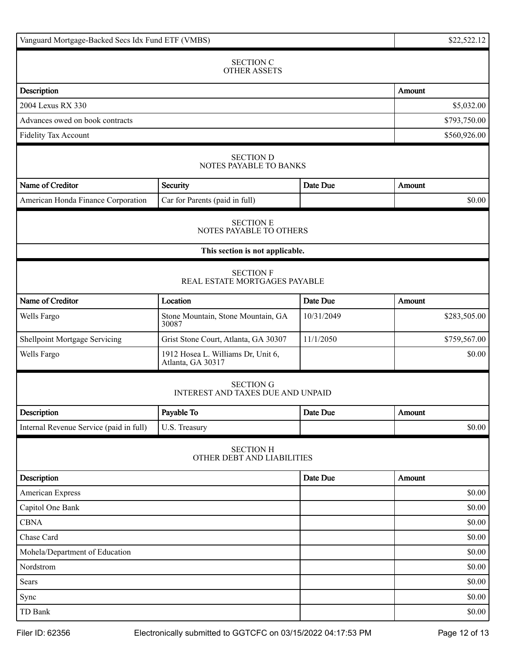| Vanguard Mortgage-Backed Secs Idx Fund ETF (VMBS) | \$22,522.12                                                  |              |               |
|---------------------------------------------------|--------------------------------------------------------------|--------------|---------------|
|                                                   | <b>SECTION C</b><br><b>OTHER ASSETS</b>                      |              |               |
| Description                                       |                                                              |              | Amount        |
| 2004 Lexus RX 330                                 |                                                              |              | \$5,032.00    |
| Advances owed on book contracts                   |                                                              | \$793,750.00 |               |
| Fidelity Tax Account                              |                                                              |              | \$560,926.00  |
|                                                   | <b>SECTION D</b><br>NOTES PAYABLE TO BANKS                   |              |               |
| Name of Creditor                                  | Security                                                     | Date Due     | Amount        |
| American Honda Finance Corporation                | Car for Parents (paid in full)                               |              | \$0.00        |
|                                                   | <b>SECTION E</b><br>NOTES PAYABLE TO OTHERS                  |              |               |
|                                                   | This section is not applicable.                              |              |               |
|                                                   | <b>SECTION F</b><br>REAL ESTATE MORTGAGES PAYABLE            |              |               |
| Name of Creditor                                  | Location                                                     | Date Due     | <b>Amount</b> |
| Wells Fargo                                       | Stone Mountain, Stone Mountain, GA<br>30087                  | 10/31/2049   | \$283,505.00  |
| Shellpoint Mortgage Servicing                     | Grist Stone Court, Atlanta, GA 30307                         | 11/1/2050    | \$759,567.00  |
| Wells Fargo                                       | 1912 Hosea L. Williams Dr, Unit 6,<br>Atlanta, GA 30317      |              | \$0.00        |
|                                                   | <b>SECTION G</b><br><b>INTEREST AND TAXES DUE AND UNPAID</b> |              |               |
| Description                                       | Payable To                                                   | Date Due     | <b>Amount</b> |
| Internal Revenue Service (paid in full)           | U.S. Treasury                                                |              | \$0.00        |
|                                                   | <b>SECTION H</b><br>OTHER DEBT AND LIABILITIES               |              |               |
| Description                                       |                                                              | Date Due     | Amount        |
| American Express                                  |                                                              |              | \$0.00        |
| Capitol One Bank                                  |                                                              |              | \$0.00        |
| <b>CBNA</b>                                       |                                                              |              | \$0.00        |
| Chase Card                                        |                                                              |              | \$0.00        |
| Mohela/Department of Education                    |                                                              |              | \$0.00        |
| Nordstrom                                         |                                                              |              | \$0.00        |
| Sears                                             |                                                              |              | \$0.00        |
| Sync                                              |                                                              |              | \$0.00        |
| TD Bank                                           |                                                              |              | \$0.00        |